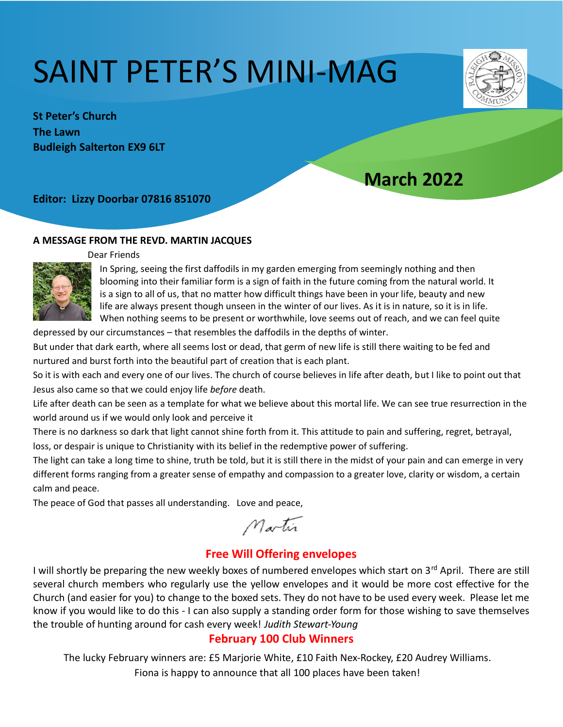# SAINT PETER'S MINI-MAG



**St Peter's Church The Lawn Budleigh Salterton EX9 6LT** 

# **March 2022**

#### **Editor: Lizzy Doorbar 07816 851070**

#### **A MESSAGE FROM THE REVD. MARTIN JACQUES**



Dear Friends

In Spring, seeing the first daffodils in my garden emerging from seemingly nothing and then blooming into their familiar form is a sign of faith in the future coming from the natural world. It is a sign to all of us, that no matter how difficult things have been in your life, beauty and new life are always present though unseen in the winter of our lives. As it is in nature, so it is in life. When nothing seems to be present or worthwhile, love seems out of reach, and we can feel quite

depressed by our circumstances – that resembles the daffodils in the depths of winter.

But under that dark earth, where all seems lost or dead, that germ of new life is still there waiting to be fed and nurtured and burst forth into the beautiful part of creation that is each plant.

So it is with each and every one of our lives. The church of course believes in life after death, but I like to point out that Jesus also came so that we could enjoy life *before* death.

Life after death can be seen as a template for what we believe about this mortal life. We can see true resurrection in the world around us if we would only look and perceive it

There is no darkness so dark that light cannot shine forth from it. This attitude to pain and suffering, regret, betrayal, loss, or despair is unique to Christianity with its belief in the redemptive power of suffering.

The light can take a long time to shine, truth be told, but it is still there in the midst of your pain and can emerge in very different forms ranging from a greater sense of empathy and compassion to a greater love, clarity or wisdom, a certain calm and peace.

The peace of God that passes all understanding. Love and peace,

Martin

## **Free Will Offering envelopes**

I will shortly be preparing the new weekly boxes of numbered envelopes which start on 3rd April. There are still several church members who regularly use the yellow envelopes and it would be more cost effective for the Church (and easier for you) to change to the boxed sets. They do not have to be used every week. Please let me know if you would like to do this - I can also supply a standing order form for those wishing to save themselves the trouble of hunting around for cash every week! *Judith Stewart-Young*

#### **February 100 Club Winners**

The lucky February winners are: £5 Marjorie White, £10 Faith Nex-Rockey, £20 Audrey Williams.

Fiona is happy to announce that all 100 places have been taken!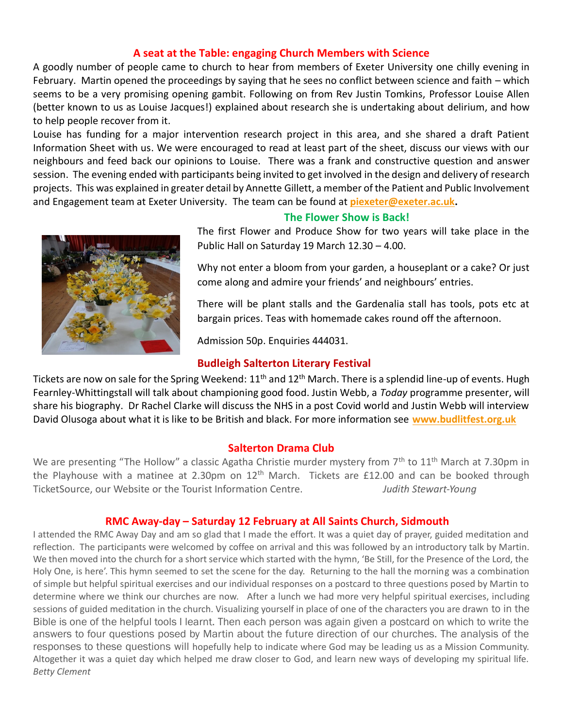#### **A seat at the Table: engaging Church Members with Science**

A goodly number of people came to church to hear from members of Exeter University one chilly evening in February. Martin opened the proceedings by saying that he sees no conflict between science and faith – which seems to be a very promising opening gambit. Following on from Rev Justin Tomkins, Professor Louise Allen (better known to us as Louise Jacques!) explained about research she is undertaking about delirium, and how to help people recover from it.

Louise has funding for a major intervention research project in this area, and she shared a draft Patient Information Sheet with us. We were encouraged to read at least part of the sheet, discuss our views with our neighbours and feed back our opinions to Louise. There was a frank and constructive question and answer session. The evening ended with participants being invited to get involved in the design and delivery of research projects. This was explained in greater detail by Annette Gillett, a member of the Patient and Public Involvement and Engagement team at Exeter University. The team can be found at *[piexeter@exeter.ac.uk.](mailto:piexeter@exeter.ac.uk)* 



#### **The Flower Show is Back!**

The first Flower and Produce Show for two years will take place in the Public Hall on Saturday 19 March 12.30 – 4.00.

Why not enter a bloom from your garden, a houseplant or a cake? Or just come along and admire your friends' and neighbours' entries.

There will be plant stalls and the Gardenalia stall has tools, pots etc at bargain prices. Teas with homemade cakes round off the afternoon.

Admission 50p. Enquiries 444031.

#### **Budleigh Salterton Literary Festival**

Tickets are now on sale for the Spring Weekend:  $11<sup>th</sup>$  and  $12<sup>th</sup>$  March. There is a splendid line-up of events. Hugh Fearnley-Whittingstall will talk about championing good food. Justin Webb, a *Today* programme presenter, will share his biography. Dr Rachel Clarke will discuss the NHS in a post Covid world and Justin Webb will interview David Olusoga about what it is like to be British and black. For more information see **[www.budlitfest.org.uk](http://www.budlitfest.org.uk/)**

#### **Salterton Drama Club**

We are presenting "The Hollow" a classic Agatha Christie murder mystery from 7<sup>th</sup> to 11<sup>th</sup> March at 7.30pm in the Playhouse with a matinee at 2.30pm on  $12<sup>th</sup>$  March. Tickets are £12.00 and can be booked through TicketSource, our Website or the Tourist Information Centre. *Judith Stewart-Young*

#### **RMC Away-day – Saturday 12 February at All Saints Church, Sidmouth**

I attended the RMC Away Day and am so glad that I made the effort. It was a quiet day of prayer, guided meditation and reflection. The participants were welcomed by coffee on arrival and this was followed by an introductory talk by Martin. We then moved into the church for a short service which started with the hymn, 'Be Still, for the Presence of the Lord, the Holy One, is here'. This hymn seemed to set the scene for the day. Returning to the hall the morning was a combination of simple but helpful spiritual exercises and our individual responses on a postcard to three questions posed by Martin to determine where we think our churches are now. After a lunch we had more very helpful spiritual exercises, including sessions of guided meditation in the church. Visualizing yourself in place of one of the characters you are drawn to in the Bible is one of the helpful tools I learnt. Then each person was again given a postcard on which to write the answers to four questions posed by Martin about the future direction of our churches. The analysis of the responses to these questions will hopefully help to indicate where God may be leading us as a Mission Community. Altogether it was a quiet day which helped me draw closer to God, and learn new ways of developing my spiritual life. *Betty Clement*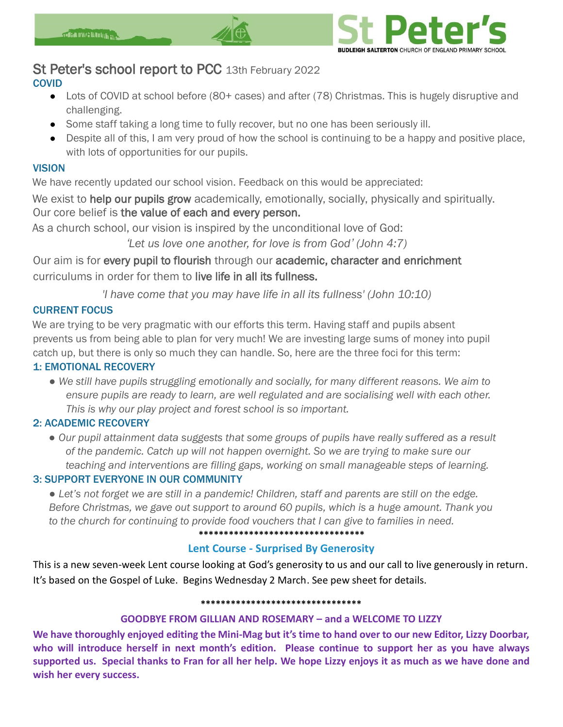

# St Peter's school report to PCC 13th February 2022

#### **COVID**

- Lots of COVID at school before (80+ cases) and after (78) Christmas. This is hugely disruptive and challenging.
- Some staff taking a long time to fully recover, but no one has been seriously ill.
- Despite all of this, I am very proud of how the school is continuing to be a happy and positive place, with lots of opportunities for our pupils.

#### **VISION**

We have recently updated our school vision. Feedback on this would be appreciated:

We exist to help our pupils grow academically, emotionally, socially, physically and spiritually. Our core belief is the value of each and every person.

As a church school, our vision is inspired by the unconditional love of God:

*ʻLet us love one another, for love is from God' (John 4:7)*

Our aim is for every pupil to flourish through our academic, character and enrichment curriculums in order for them to live life in all its fullness.

*'I have come that you may have life in all its fullness' (John 10:10)*

#### CURRENT FOCUS

We are trying to be very pragmatic with our efforts this term. Having staff and pupils absent prevents us from being able to plan for very much! We are investing large sums of money into pupil catch up, but there is only so much they can handle. So, here are the three foci for this term: 1: EMOTIONAL RECOVERY

*● We still have pupils struggling emotionally and socially, for many different reasons. We aim to ensure pupils are ready to learn, are well regulated and are socialising well with each other. This is why our play project and forest school is so important.*

#### 2: ACADEMIC RECOVERY

*● Our pupil attainment data suggests that some groups of pupils have really suffered as a result of the pandemic. Catch up will not happen overnight. So we are trying to make sure our teaching and interventions are filling gaps, working on small manageable steps of learning.*

#### 3: SUPPORT EVERYONE IN OUR COMMUNITY

*● Let's not forget we are still in a pandemic! Children, staff and parents are still on the edge. Before Christmas, we gave out support to around 60 pupils, which is a huge amount. Thank you to the church for continuing to provide food vouchers that I can give to families in need.*

**\*\*\*\*\*\*\*\*\*\*\*\*\*\*\*\*\*\*\*\*\*\*\*\*\*\*\*\*\*\*\*\*\***

#### **Lent Course - Surprised By Generosity**

This is a new seven-week Lent course looking at God's generosity to us and our call to live generously in return. It's based on the Gospel of Luke. Begins Wednesday 2 March. See pew sheet for details.

#### **\*\*\*\*\*\*\*\*\*\*\*\*\*\*\*\*\*\*\*\*\*\*\*\*\*\*\*\*\*\*\*\***

#### **GOODBYE FROM GILLIAN AND ROSEMARY – and a WELCOME TO LIZZY**

**We have thoroughly enjoyed editing the Mini-Mag but it's time to hand over to our new Editor, Lizzy Doorbar, who will introduce herself in next month's edition. Please continue to support her as you have always supported us. Special thanks to Fran for all her help. We hope Lizzy enjoys it as much as we have done and wish her every success.**